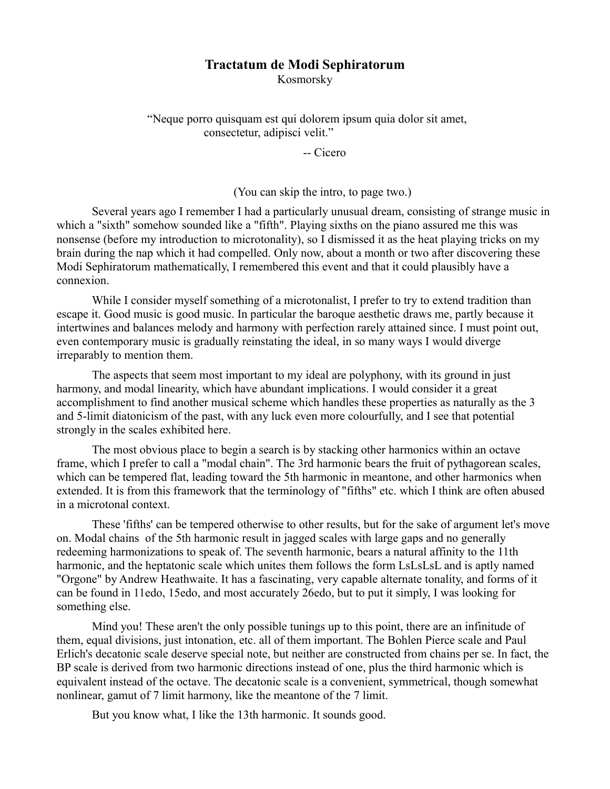## **Tractatum de Modi Sephiratorum**

Kosmorsky

"Neque porro quisquam est qui dolorem ipsum quia dolor sit amet, consectetur, adipisci velit."

-- Cicero

(You can skip the intro, to page two.)

Several years ago I remember I had a particularly unusual dream, consisting of strange music in which a "sixth" somehow sounded like a "fifth". Playing sixths on the piano assured me this was nonsense (before my introduction to microtonality), so I dismissed it as the heat playing tricks on my brain during the nap which it had compelled. Only now, about a month or two after discovering these Modi Sephiratorum mathematically, I remembered this event and that it could plausibly have a connexion.

While I consider myself something of a microtonalist, I prefer to try to extend tradition than escape it. Good music is good music. In particular the baroque aesthetic draws me, partly because it intertwines and balances melody and harmony with perfection rarely attained since. I must point out, even contemporary music is gradually reinstating the ideal, in so many ways I would diverge irreparably to mention them.

The aspects that seem most important to my ideal are polyphony, with its ground in just harmony, and modal linearity, which have abundant implications. I would consider it a great accomplishment to find another musical scheme which handles these properties as naturally as the 3 and 5-limit diatonicism of the past, with any luck even more colourfully, and I see that potential strongly in the scales exhibited here.

The most obvious place to begin a search is by stacking other harmonics within an octave frame, which I prefer to call a "modal chain". The 3rd harmonic bears the fruit of pythagorean scales, which can be tempered flat, leading toward the 5th harmonic in meantone, and other harmonics when extended. It is from this framework that the terminology of "fifths" etc. which I think are often abused in a microtonal context.

These 'fifths' can be tempered otherwise to other results, but for the sake of argument let's move on. Modal chains of the 5th harmonic result in jagged scales with large gaps and no generally redeeming harmonizations to speak of. The seventh harmonic, bears a natural affinity to the 11th harmonic, and the heptatonic scale which unites them follows the form LsLsLsL and is aptly named "Orgone" by Andrew Heathwaite. It has a fascinating, very capable alternate tonality, and forms of it can be found in 11edo, 15edo, and most accurately 26edo, but to put it simply, I was looking for something else.

Mind you! These aren't the only possible tunings up to this point, there are an infinitude of them, equal divisions, just intonation, etc. all of them important. The Bohlen Pierce scale and Paul Erlich's decatonic scale deserve special note, but neither are constructed from chains per se. In fact, the BP scale is derived from two harmonic directions instead of one, plus the third harmonic which is equivalent instead of the octave. The decatonic scale is a convenient, symmetrical, though somewhat nonlinear, gamut of 7 limit harmony, like the meantone of the 7 limit.

But you know what, I like the 13th harmonic. It sounds good.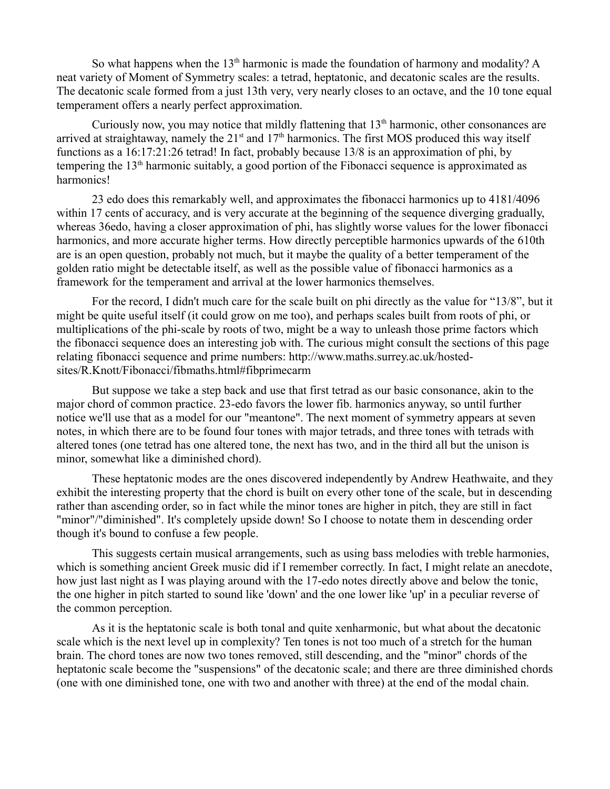So what happens when the  $13<sup>th</sup>$  harmonic is made the foundation of harmony and modality? A neat variety of Moment of Symmetry scales: a tetrad, heptatonic, and decatonic scales are the results. The decatonic scale formed from a just 13th very, very nearly closes to an octave, and the 10 tone equal temperament offers a nearly perfect approximation.

Curiously now, you may notice that mildly flattening that 13<sup>th</sup> harmonic, other consonances are arrived at straightaway, namely the  $21<sup>st</sup>$  and  $17<sup>th</sup>$  harmonics. The first MOS produced this way itself functions as a 16:17:21:26 tetrad! In fact, probably because 13/8 is an approximation of phi, by tempering the  $13<sup>th</sup>$  harmonic suitably, a good portion of the Fibonacci sequence is approximated as harmonics!

23 edo does this remarkably well, and approximates the fibonacci harmonics up to 4181/4096 within 17 cents of accuracy, and is very accurate at the beginning of the sequence diverging gradually, whereas 36edo, having a closer approximation of phi, has slightly worse values for the lower fibonacci harmonics, and more accurate higher terms. How directly perceptible harmonics upwards of the 610th are is an open question, probably not much, but it maybe the quality of a better temperament of the golden ratio might be detectable itself, as well as the possible value of fibonacci harmonics as a framework for the temperament and arrival at the lower harmonics themselves.

For the record, I didn't much care for the scale built on phi directly as the value for "13/8", but it might be quite useful itself (it could grow on me too), and perhaps scales built from roots of phi, or multiplications of the phi-scale by roots of two, might be a way to unleash those prime factors which the fibonacci sequence does an interesting job with. The curious might consult the sections of this page relating fibonacci sequence and prime numbers: http://www.maths.surrey.ac.uk/hostedsites/R.Knott/Fibonacci/fibmaths.html#fibprimecarm

But suppose we take a step back and use that first tetrad as our basic consonance, akin to the major chord of common practice. 23-edo favors the lower fib. harmonics anyway, so until further notice we'll use that as a model for our "meantone". The next moment of symmetry appears at seven notes, in which there are to be found four tones with major tetrads, and three tones with tetrads with altered tones (one tetrad has one altered tone, the next has two, and in the third all but the unison is minor, somewhat like a diminished chord).

These heptatonic modes are the ones discovered independently by Andrew Heathwaite, and they exhibit the interesting property that the chord is built on every other tone of the scale, but in descending rather than ascending order, so in fact while the minor tones are higher in pitch, they are still in fact "minor"/"diminished". It's completely upside down! So I choose to notate them in descending order though it's bound to confuse a few people.

This suggests certain musical arrangements, such as using bass melodies with treble harmonies, which is something ancient Greek music did if I remember correctly. In fact, I might relate an anecdote, how just last night as I was playing around with the 17-edo notes directly above and below the tonic, the one higher in pitch started to sound like 'down' and the one lower like 'up' in a peculiar reverse of the common perception.

As it is the heptatonic scale is both tonal and quite xenharmonic, but what about the decatonic scale which is the next level up in complexity? Ten tones is not too much of a stretch for the human brain. The chord tones are now two tones removed, still descending, and the "minor" chords of the heptatonic scale become the "suspensions" of the decatonic scale; and there are three diminished chords (one with one diminished tone, one with two and another with three) at the end of the modal chain.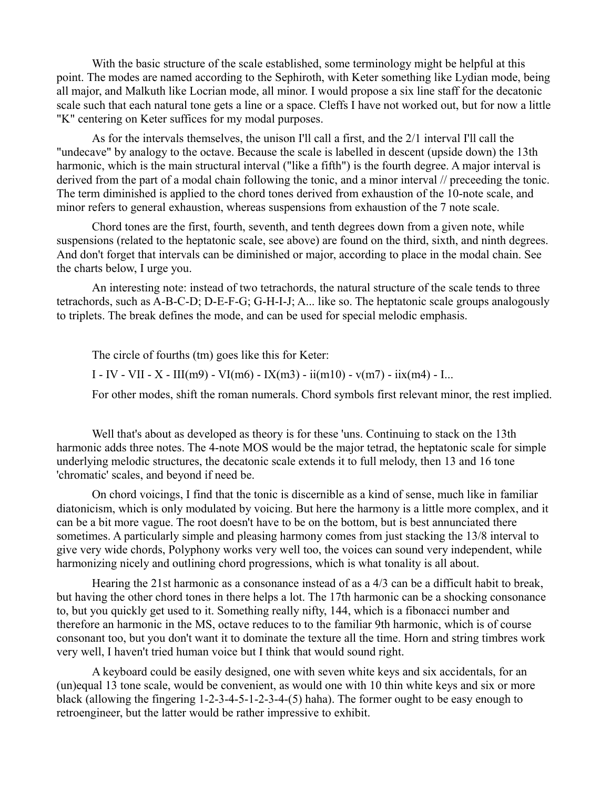With the basic structure of the scale established, some terminology might be helpful at this point. The modes are named according to the Sephiroth, with Keter something like Lydian mode, being all major, and Malkuth like Locrian mode, all minor. I would propose a six line staff for the decatonic scale such that each natural tone gets a line or a space. Cleffs I have not worked out, but for now a little "K" centering on Keter suffices for my modal purposes.

As for the intervals themselves, the unison I'll call a first, and the 2/1 interval I'll call the "undecave" by analogy to the octave. Because the scale is labelled in descent (upside down) the 13th harmonic, which is the main structural interval ("like a fifth") is the fourth degree. A major interval is derived from the part of a modal chain following the tonic, and a minor interval // preceeding the tonic. The term diminished is applied to the chord tones derived from exhaustion of the 10-note scale, and minor refers to general exhaustion, whereas suspensions from exhaustion of the 7 note scale.

Chord tones are the first, fourth, seventh, and tenth degrees down from a given note, while suspensions (related to the heptatonic scale, see above) are found on the third, sixth, and ninth degrees. And don't forget that intervals can be diminished or major, according to place in the modal chain. See the charts below, I urge you.

An interesting note: instead of two tetrachords, the natural structure of the scale tends to three tetrachords, such as A-B-C-D; D-E-F-G; G-H-I-J; A... like so. The heptatonic scale groups analogously to triplets. The break defines the mode, and can be used for special melodic emphasis.

The circle of fourths (tm) goes like this for Keter:

I - IV - VII - X - III(m9) - VI(m6) - IX(m3) - ii(m10) -  $v(m7)$  - iix(m4) - I...

For other modes, shift the roman numerals. Chord symbols first relevant minor, the rest implied.

Well that's about as developed as theory is for these 'uns. Continuing to stack on the 13th harmonic adds three notes. The 4-note MOS would be the major tetrad, the heptatonic scale for simple underlying melodic structures, the decatonic scale extends it to full melody, then 13 and 16 tone 'chromatic' scales, and beyond if need be.

On chord voicings, I find that the tonic is discernible as a kind of sense, much like in familiar diatonicism, which is only modulated by voicing. But here the harmony is a little more complex, and it can be a bit more vague. The root doesn't have to be on the bottom, but is best annunciated there sometimes. A particularly simple and pleasing harmony comes from just stacking the 13/8 interval to give very wide chords, Polyphony works very well too, the voices can sound very independent, while harmonizing nicely and outlining chord progressions, which is what tonality is all about.

Hearing the 21st harmonic as a consonance instead of as a 4/3 can be a difficult habit to break, but having the other chord tones in there helps a lot. The 17th harmonic can be a shocking consonance to, but you quickly get used to it. Something really nifty, 144, which is a fibonacci number and therefore an harmonic in the MS, octave reduces to to the familiar 9th harmonic, which is of course consonant too, but you don't want it to dominate the texture all the time. Horn and string timbres work very well, I haven't tried human voice but I think that would sound right.

A keyboard could be easily designed, one with seven white keys and six accidentals, for an (un)equal 13 tone scale, would be convenient, as would one with 10 thin white keys and six or more black (allowing the fingering 1-2-3-4-5-1-2-3-4-(5) haha). The former ought to be easy enough to retroengineer, but the latter would be rather impressive to exhibit.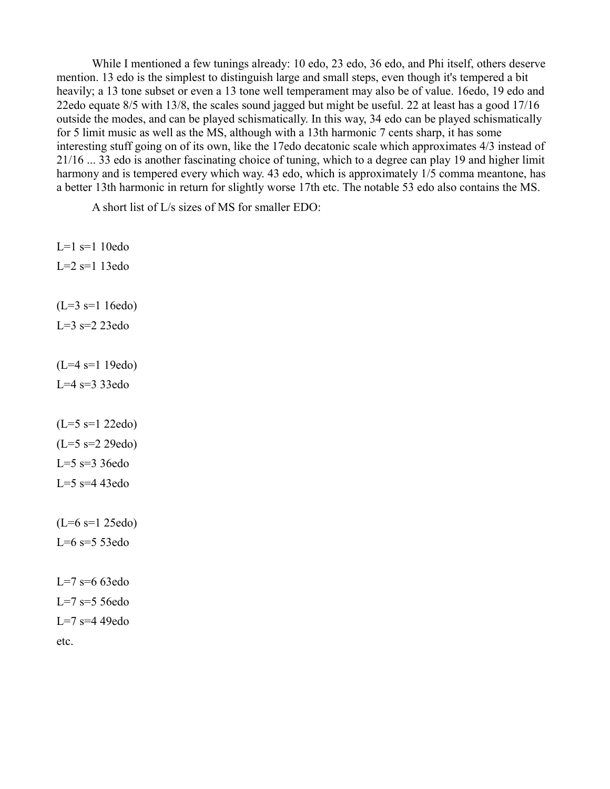While I mentioned a few tunings already: 10 edo, 23 edo, 36 edo, and Phi itself, others deserve mention. 13 edo is the simplest to distinguish large and small steps, even though it's tempered a bit heavily; a 13 tone subset or even a 13 tone well temperament may also be of value. 16edo, 19 edo and 22edo equate 8/5 with 13/8, the scales sound jagged but might be useful. 22 at least has a good 17/16 outside the modes, and can be played schismatically. In this way, 34 edo can be played schismatically for 5 limit music as well as the MS, although with a 13th harmonic 7 cents sharp, it has some interesting stuff going on of its own, like the 17edo decatonic scale which approximates 4/3 instead of 21/16 ... 33 edo is another fascinating choice of tuning, which to a degree can play 19 and higher limit harmony and is tempered every which way. 43 edo, which is approximately 1/5 comma meantone, has a better 13th harmonic in return for slightly worse 17th etc. The notable 53 edo also contains the MS.

A short list of L/s sizes of MS for smaller EDO:

 $L=1$  s=1 10edo  $L=2$  s=1 13edo  $(L=3 s=1 16edo)$  $L=3$  s=2 23edo  $(L=4 s=1 19edo)$  $L=4$  s=3 33edo  $(L=5 s=1 22 edo)$  $(L=5 s=2 29edo)$  $L=5$  s=3 36edo L=5  $s=4$  43edo  $(L=6 s=1 25 edo)$  $I = 6$  s=5 53edo  $L=7$  s=6 63edo  $L=7$  s=5 56edo  $L=7$  s=4 49edo etc.